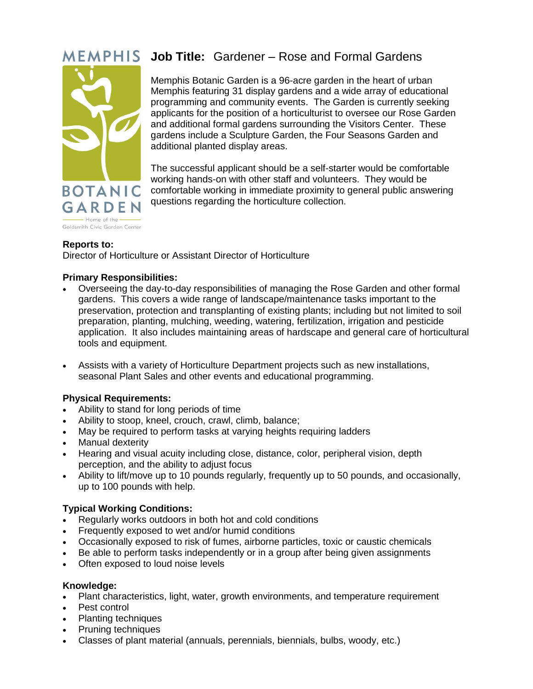

# **Job Title:** Gardener – Rose and Formal Gardens

Memphis Botanic Garden is a 96-acre garden in the heart of urban Memphis featuring 31 display gardens and a wide array of educational programming and community events. The Garden is currently seeking applicants for the position of a horticulturist to oversee our Rose Garden and additional formal gardens surrounding the Visitors Center. These gardens include a Sculpture Garden, the Four Seasons Garden and additional planted display areas.

The successful applicant should be a self-starter would be comfortable working hands-on with other staff and volunteers. They would be comfortable working in immediate proximity to general public answering questions regarding the horticulture collection.

## **Reports to:**

Director of Horticulture or Assistant Director of Horticulture

## **Primary Responsibilities:**

- Overseeing the day-to-day responsibilities of managing the Rose Garden and other formal gardens. This covers a wide range of landscape/maintenance tasks important to the preservation, protection and transplanting of existing plants; including but not limited to soil preparation, planting, mulching, weeding, watering, fertilization, irrigation and pesticide application. It also includes maintaining areas of hardscape and general care of horticultural tools and equipment.
- Assists with a variety of Horticulture Department projects such as new installations, seasonal Plant Sales and other events and educational programming.

#### **Physical Requirements:**

- Ability to stand for long periods of time
- Ability to stoop, kneel, crouch, crawl, climb, balance;
- May be required to perform tasks at varying heights requiring ladders
- Manual dexterity
- Hearing and visual acuity including close, distance, color, peripheral vision, depth perception, and the ability to adjust focus
- Ability to lift/move up to 10 pounds regularly, frequently up to 50 pounds, and occasionally, up to 100 pounds with help.

#### **Typical Working Conditions:**

- Regularly works outdoors in both hot and cold conditions
- Frequently exposed to wet and/or humid conditions
- Occasionally exposed to risk of fumes, airborne particles, toxic or caustic chemicals
- Be able to perform tasks independently or in a group after being given assignments
- Often exposed to loud noise levels

#### **Knowledge:**

- Plant characteristics, light, water, growth environments, and temperature requirement
- Pest control
- Planting techniques
- Pruning techniques
- Classes of plant material (annuals, perennials, biennials, bulbs, woody, etc.)